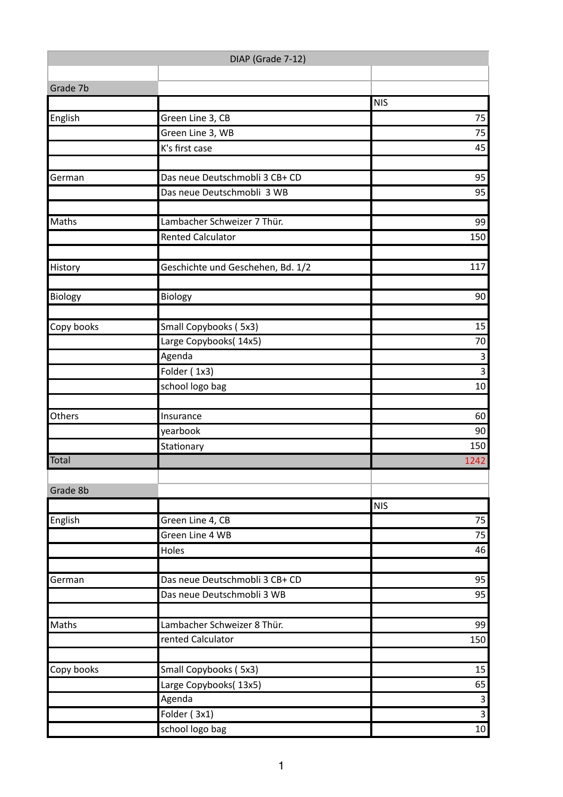| DIAP (Grade 7-12) |                                   |                 |  |  |
|-------------------|-----------------------------------|-----------------|--|--|
|                   |                                   |                 |  |  |
| Grade 7b          |                                   |                 |  |  |
|                   |                                   | <b>NIS</b>      |  |  |
| English           | Green Line 3, CB                  | 75<br>75        |  |  |
|                   | Green Line 3, WB                  |                 |  |  |
|                   | K's first case                    | 45              |  |  |
| German            | Das neue Deutschmobli 3 CB+ CD    | 95              |  |  |
|                   | Das neue Deutschmobli 3 WB        | 95              |  |  |
| Maths             | Lambacher Schweizer 7 Thür.       | 99              |  |  |
|                   | <b>Rented Calculator</b>          | 150             |  |  |
|                   |                                   |                 |  |  |
| History           | Geschichte und Geschehen, Bd. 1/2 | 117             |  |  |
|                   |                                   |                 |  |  |
| Biology           | Biology                           | 90              |  |  |
| Copy books        | Small Copybooks (5x3)             | 15              |  |  |
|                   | Large Copybooks(14x5)             | $70\,$          |  |  |
|                   | Agenda                            | $\overline{3}$  |  |  |
|                   | Folder (1x3)                      | $\overline{3}$  |  |  |
|                   | school logo bag                   | 10              |  |  |
|                   |                                   |                 |  |  |
| Others            | Insurance                         | 60              |  |  |
|                   | yearbook                          | 90              |  |  |
|                   | Stationary                        | 150             |  |  |
| <b>Total</b>      |                                   | 1242            |  |  |
| Grade 8b          |                                   |                 |  |  |
|                   |                                   | <b>NIS</b>      |  |  |
| English           | Green Line 4, CB                  | 75              |  |  |
|                   | Green Line 4 WB                   | 75              |  |  |
|                   | Holes                             | 46              |  |  |
|                   |                                   |                 |  |  |
| German            | Das neue Deutschmobli 3 CB+ CD    | 95              |  |  |
|                   | Das neue Deutschmobli 3 WB        | 95              |  |  |
| Maths             | Lambacher Schweizer 8 Thür.       | 99              |  |  |
|                   | rented Calculator                 | 150             |  |  |
|                   |                                   |                 |  |  |
| Copy books        | Small Copybooks (5x3)             | 15              |  |  |
|                   | Large Copybooks(13x5)             | 65              |  |  |
|                   | Agenda                            | $\mathsf{3}$    |  |  |
|                   | Folder (3x1)                      | $\overline{3}$  |  |  |
|                   | school logo bag                   | 10 <sup>1</sup> |  |  |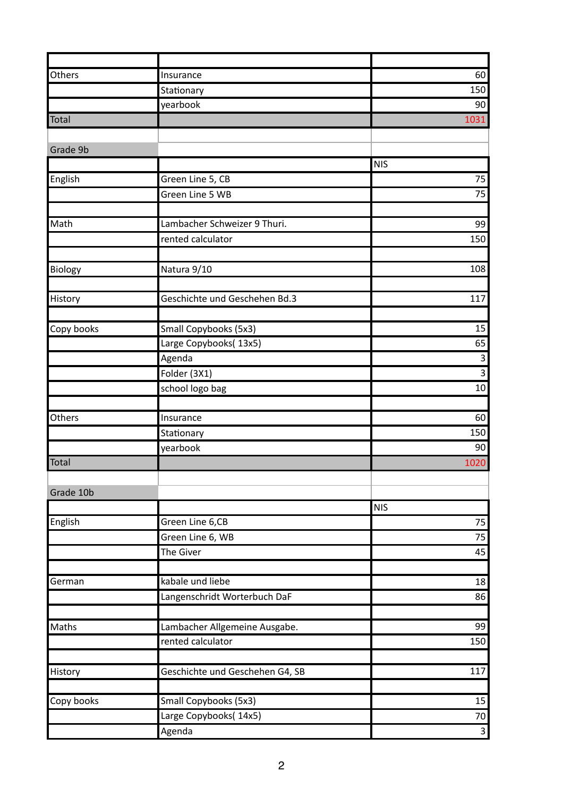| Others     | Insurance                       | 60             |
|------------|---------------------------------|----------------|
|            | Stationary                      | 150            |
|            | yearbook                        | 90             |
| Total      |                                 | 1031           |
|            |                                 |                |
| Grade 9b   |                                 |                |
|            |                                 | <b>NIS</b>     |
| English    | Green Line 5, CB                | 75             |
|            | Green Line 5 WB                 | 75             |
|            |                                 |                |
| Math       | Lambacher Schweizer 9 Thuri.    | 99             |
|            | rented calculator               | 150            |
|            |                                 |                |
| Biology    | Natura 9/10                     | 108            |
|            |                                 |                |
| History    | Geschichte und Geschehen Bd.3   | 117            |
|            |                                 |                |
| Copy books | Small Copybooks (5x3)           | 15             |
|            | Large Copybooks(13x5)           | 65             |
|            | Agenda                          | $\overline{3}$ |
|            | Folder (3X1)                    | $\overline{3}$ |
|            | school logo bag                 | 10             |
|            |                                 |                |
| Others     | Insurance                       | 60             |
|            | Stationary                      | 150            |
|            | yearbook                        | 90             |
| Total      |                                 | 1020           |
|            |                                 |                |
| Grade 10b  |                                 |                |
|            |                                 | <b>NIS</b>     |
| English    | Green Line 6, CB                | 75<br>75       |
|            | Green Line 6, WB<br>The Giver   | 45             |
|            |                                 |                |
| German     | kabale und liebe                | 18             |
|            | Langenschridt Worterbuch DaF    | 86             |
|            |                                 |                |
| Maths      | Lambacher Allgemeine Ausgabe.   | 99             |
|            | rented calculator               | 150            |
|            |                                 |                |
| History    | Geschichte und Geschehen G4, SB | 117            |
|            |                                 |                |
| Copy books | Small Copybooks (5x3)           | 15             |
|            | Large Copybooks(14x5)           | 70             |
|            | Agenda                          | $\overline{3}$ |
|            |                                 |                |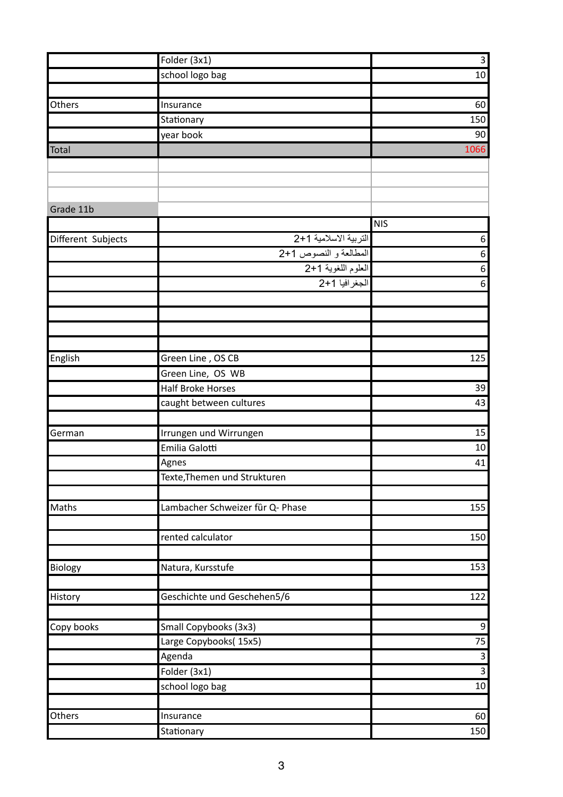|                    | Folder (3x1)                     | $\mathbf{3}$     |
|--------------------|----------------------------------|------------------|
|                    | school logo bag                  | $10\,$           |
|                    |                                  |                  |
| Others             | Insurance                        | 60               |
|                    | Stationary                       | 150              |
|                    | year book                        | 90               |
| Total              |                                  | 1066             |
|                    |                                  |                  |
|                    |                                  |                  |
|                    |                                  |                  |
| Grade 11b          |                                  |                  |
|                    |                                  | <b>NIS</b>       |
| Different Subjects | التربية الاسلامية 1+2            | 6                |
|                    | المطالعة و النصوص 1+2            | $\boldsymbol{6}$ |
|                    | العلوم اللغوية 1+2               | 6                |
|                    | الجغرافيا 1+2                    | $\boldsymbol{6}$ |
|                    |                                  |                  |
|                    |                                  |                  |
|                    |                                  |                  |
|                    |                                  |                  |
| English            | Green Line, OS CB                | 125              |
|                    | Green Line, OS WB                |                  |
|                    | <b>Half Broke Horses</b>         | 39               |
|                    | caught between cultures          | 43               |
|                    |                                  |                  |
| German             | Irrungen und Wirrungen           | 15               |
|                    | Emilia Galotti                   | $10\,$           |
|                    | Agnes                            | 41               |
|                    | Texte, Themen und Strukturen     |                  |
|                    |                                  |                  |
| Maths              | Lambacher Schweizer für Q- Phase | 155              |
|                    |                                  |                  |
|                    | rented calculator                | 150              |
|                    |                                  |                  |
| Biology            | Natura, Kursstufe                | 153              |
|                    |                                  |                  |
| History            | Geschichte und Geschehen5/6      | 122              |
|                    |                                  |                  |
| Copy books         | Small Copybooks (3x3)            | 9                |
|                    | Large Copybooks(15x5)            | 75               |
|                    | Agenda                           | $\mathsf{3}$     |
|                    | Folder (3x1)                     | $\overline{3}$   |
|                    | school logo bag                  | $10\,$           |
|                    |                                  |                  |
| Others             | Insurance                        | 60               |
|                    | Stationary                       | 150              |